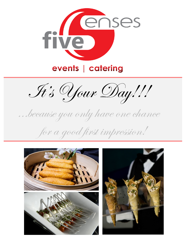

# events | catering

It's Your Day!!!

…because you only have one chance

for a good first impression!

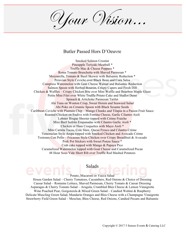Your Vision…

### Butler Passed Hors D'Oeuvre

Smoked Salmon Crostini Pineapple Teriyaki Meatball \* Truffle Mac & Cheese Poppers \* Roma Tomato Bruschetta with Shaved Parmesan \* Mozzarella, Tomato & Basil Skewer with Balsamic Reduction \* Peruvian Style Ceviche over Black Bean and Corn Salsa Compress Watermelon with Goat Cheese Walnut and Balsamic Reduction Salmon Spoon with Herbed Boursin, Crispy Capers and Fresh Dill Chicken & Waffles – Crispy Chicken Bite over Mini Waffle and Bourbon Maple Glaze Petite Mini Filet over White Truffle Potato Cake and Shallot Demi Spinach & Artichoke Parmesan Tartlet Ahi Tuna on Wonton Crisp, Sweet Hoisin and Seaweed Salad Ahi Poke on Ceramic Spoon with Black Sesame Seeds Caribbean Ceviche with Plantain Chip – Mango Chunks and Tilapia in a Pasion Fruit Sauce Roasted Chicken on Endive with Fontina Cheese, Garlic Cilantro Aioli Lobster Bisque Shooter topped with Crème Fraiche Mini Beef Sofrito Empanadas with Cilantro Garlic Aioli \* Chicken or Ham Croquettes with Mayo Aioli \* Mini Carnita Tacos, Cole Slaw, Queso Fresco and Cilantro Crème Venezuelan Style Arepa topped with Smoked Chicken and Avocado Crème Tostones Con Pollo – Fricassee Style Chicken over Crispy Breadfruit & Avocado Pork Pot Stickers with Sweet Ponzu Sauce \* Crab cake topped with Mango & Papaya Pico Caramelized Watermelon topped with Goat Cheese and Caramelized Pecan 48 Hour Sous Vide Short Rib over Truffle Red Mashed Potatoes

#### Salads

Potato, Macaroni or Yucca Salad

House Garden Salad – Cherry Tomatoes, Cucumbers, Red Onions & Choice of Dressing Caesar Salad – Romaine Lettuce, Shaved Parmesan, Cherry Tomato & Caesar Dressing Asparagus & Cherry Tomato Salad – Arugula, Crumbled Bleu Cheese & Lemon Vinaigrette Wine Poached Pear, Gorgonzola & Mixed Green Salad – Candied Walnut & Raspberry Delicate Muscling Green Salad, Mandarin Oranges and Bleu Cheese with a Champagne Vinaigrette Strawberry Field Green Salad – Mesclun, Bleu Cheese, Red Onions, Candied Pecans and Balsamic